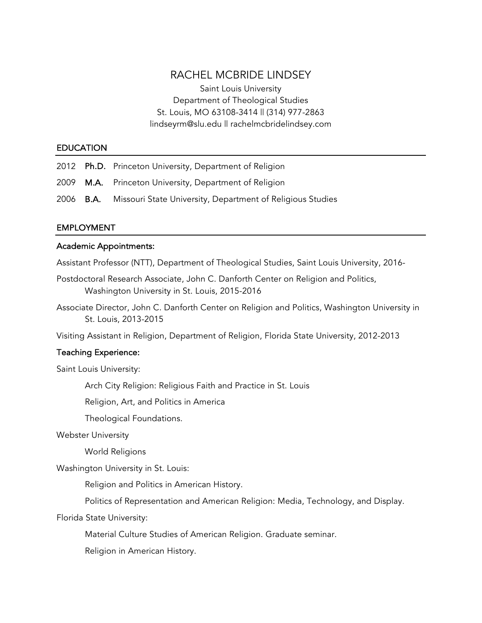## RACHEL MCBRIDE LINDSEY Saint Louis University Department of Theological Studies St. Louis, MO 63108-3414 || (314) 977-2863 lindseyrm@slu.edu || rachelmcbridelindsey.com

#### **EDUCATION**

- 2012 Ph.D. Princeton University, Department of Religion
- 2009 M.A. Princeton University, Department of Religion
- 2006 B.A. Missouri State University, Department of Religious Studies

#### EMPLOYMENT

#### Academic Appointments:

Assistant Professor (NTT), Department of Theological Studies, Saint Louis University, 2016-

- Postdoctoral Research Associate, John C. Danforth Center on Religion and Politics, Washington University in St. Louis, 2015-2016
- Associate Director, John C. Danforth Center on Religion and Politics, Washington University in St. Louis, 2013-2015

Visiting Assistant in Religion, Department of Religion, Florida State University, 2012-2013

#### Teaching Experience:

Saint Louis University:

Arch City Religion: Religious Faith and Practice in St. Louis

Religion, Art, and Politics in America

Theological Foundations.

Webster University

World Religions

Washington University in St. Louis:

Religion and Politics in American History.

Politics of Representation and American Religion: Media, Technology, and Display.

Florida State University:

Material Culture Studies of American Religion. Graduate seminar.

Religion in American History.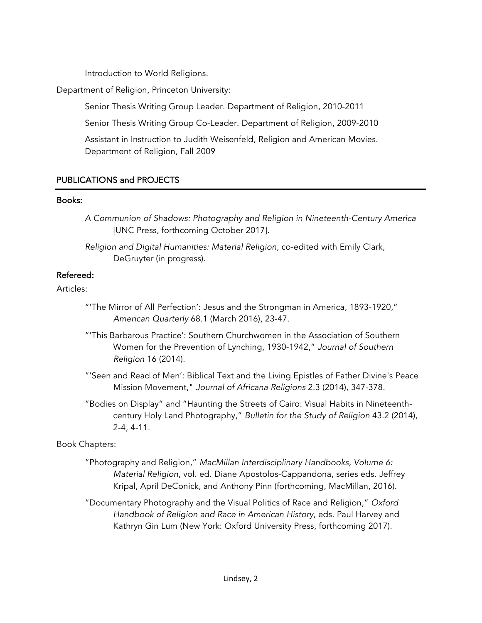Introduction to World Religions.

Department of Religion, Princeton University:

Senior Thesis Writing Group Leader. Department of Religion, 2010-2011

Senior Thesis Writing Group Co-Leader. Department of Religion, 2009-2010

Assistant in Instruction to Judith Weisenfeld, Religion and American Movies. Department of Religion, Fall 2009

## PUBLICATIONS and PROJECTS

### Books:

- *A Communion of Shadows: Photography and Religion in Nineteenth-Century America*  [UNC Press, forthcoming October 2017].
- *Religion and Digital Humanities: Material Religion*, co-edited with Emily Clark, DeGruyter (in progress).

## Refereed:

Articles:

- "'The Mirror of All Perfection': Jesus and the Strongman in America, 1893-1920," *American Quarterly* 68.1 (March 2016), 23-47.
- "'This Barbarous Practice': Southern Churchwomen in the Association of Southern Women for the Prevention of Lynching, 1930-1942," *Journal of Southern Religion* 16 (2014).
- "'Seen and Read of Men': Biblical Text and the Living Epistles of Father Divine's Peace Mission Movement," *Journal of Africana Religions* 2.3 (2014), 347-378.
- "Bodies on Display" and "Haunting the Streets of Cairo: Visual Habits in Nineteenthcentury Holy Land Photography," *Bulletin for the Study of Religion* 43.2 (2014), 2-4, 4-11.

Book Chapters:

- "Photography and Religion," *MacMillan Interdisciplinary Handbooks, Volume 6: Material Religion*, vol. ed. Diane Apostolos-Cappandona, series eds. Jeffrey Kripal, April DeConick, and Anthony Pinn (forthcoming, MacMillan, 2016).
- "Documentary Photography and the Visual Politics of Race and Religion," *Oxford Handbook of Religion and Race in American History*, eds. Paul Harvey and Kathryn Gin Lum (New York: Oxford University Press, forthcoming 2017).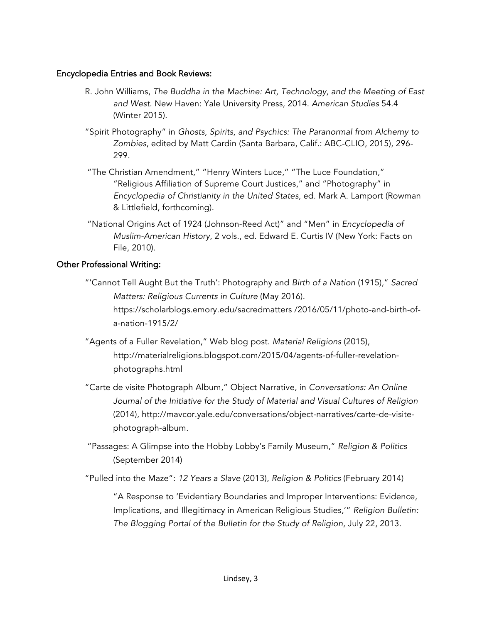## Encyclopedia Entries and Book Reviews:

- R. John Williams, *The Buddha in the Machine: Art, Technology, and the Meeting of East and West*. New Haven: Yale University Press, 2014. *American Studies* 54.4 (Winter 2015).
- "Spirit Photography" in *Ghosts, Spirits, and Psychics: The Paranormal from Alchemy to Zombies*, edited by Matt Cardin (Santa Barbara, Calif.: ABC-CLIO, 2015), 296- 299.
- "The Christian Amendment," "Henry Winters Luce," "The Luce Foundation," "Religious Affiliation of Supreme Court Justices," and "Photography" in *Encyclopedia of Christianity in the United States*, ed. Mark A. Lamport (Rowman & Littlefield, forthcoming).
- "National Origins Act of 1924 (Johnson-Reed Act)" and "Men" in *Encyclopedia of Muslim-American History*, 2 vols., ed. Edward E. Curtis IV (New York: Facts on File, 2010).

## Other Professional Writing:

- "'Cannot Tell Aught But the Truth': Photography and *Birth of a Nation* (1915)," *Sacred Matters: Religious Currents in Culture* (May 2016). https://scholarblogs.emory.edu/sacredmatters /2016/05/11/photo-and-birth-ofa-nation-1915/2/
- "Agents of a Fuller Revelation," Web blog post. *Material Religions* (2015), http://materialreligions.blogspot.com/2015/04/agents-of-fuller-revelationphotographs.html
- "Carte de visite Photograph Album," Object Narrative, in *Conversations: An Online Journal of the Initiative for the Study of Material and Visual Cultures of Religion* (2014), http://mavcor.yale.edu/conversations/object-narratives/carte-de-visitephotograph-album.
- "Passages: A Glimpse into the Hobby Lobby's Family Museum," *Religion & Politics* (September 2014)

"Pulled into the Maze": *12 Years a Slave* (2013), *Religion & Politics* (February 2014)

"A Response to 'Evidentiary Boundaries and Improper Interventions: Evidence, Implications, and Illegitimacy in American Religious Studies,'" *Religion Bulletin: The Blogging Portal of the Bulletin for the Study of Religion*, July 22, 2013.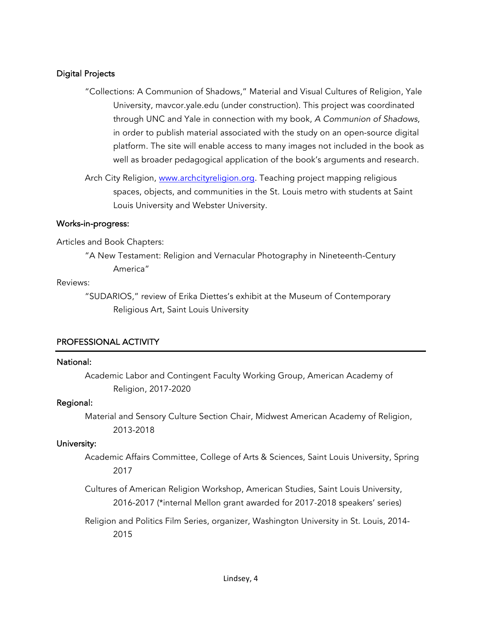### Digital Projects

- "Collections: A Communion of Shadows," Material and Visual Cultures of Religion, Yale University, mavcor.yale.edu (under construction). This project was coordinated through UNC and Yale in connection with my book, *A Communion of Shadows*, in order to publish material associated with the study on an open-source digital platform. The site will enable access to many images not included in the book as well as broader pedagogical application of the book's arguments and research.
- Arch City Religion, www.archcityreligion.org. Teaching project mapping religious spaces, objects, and communities in the St. Louis metro with students at Saint Louis University and Webster University.

### Works-in-progress:

Articles and Book Chapters:

"A New Testament: Religion and Vernacular Photography in Nineteenth-Century America"

### Reviews:

"SUDARIOS," review of Erika Diettes's exhibit at the Museum of Contemporary Religious Art, Saint Louis University

## PROFESSIONAL ACTIVITY

### National:

Academic Labor and Contingent Faculty Working Group, American Academy of Religion, 2017-2020

### Regional:

Material and Sensory Culture Section Chair, Midwest American Academy of Religion, 2013-2018

### University:

Academic Affairs Committee, College of Arts & Sciences, Saint Louis University, Spring 2017

Cultures of American Religion Workshop, American Studies, Saint Louis University, 2016-2017 (\*internal Mellon grant awarded for 2017-2018 speakers' series)

Religion and Politics Film Series, organizer, Washington University in St. Louis, 2014- 2015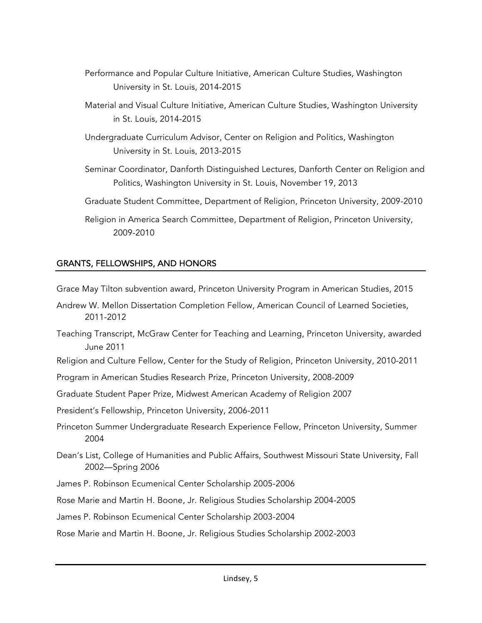- Performance and Popular Culture Initiative, American Culture Studies, Washington University in St. Louis, 2014-2015
- Material and Visual Culture Initiative, American Culture Studies, Washington University in St. Louis, 2014-2015
- Undergraduate Curriculum Advisor, Center on Religion and Politics, Washington University in St. Louis, 2013-2015
- Seminar Coordinator, Danforth Distinguished Lectures, Danforth Center on Religion and Politics, Washington University in St. Louis, November 19, 2013
- Graduate Student Committee, Department of Religion, Princeton University, 2009-2010
- Religion in America Search Committee, Department of Religion, Princeton University, 2009-2010

# GRANTS, FELLOWSHIPS, AND HONORS

- Grace May Tilton subvention award, Princeton University Program in American Studies, 2015
- Andrew W. Mellon Dissertation Completion Fellow, American Council of Learned Societies, 2011-2012
- Teaching Transcript, McGraw Center for Teaching and Learning, Princeton University, awarded June 2011
- Religion and Culture Fellow, Center for the Study of Religion, Princeton University, 2010-2011
- Program in American Studies Research Prize, Princeton University, 2008-2009
- Graduate Student Paper Prize, Midwest American Academy of Religion 2007
- President's Fellowship, Princeton University, 2006-2011
- Princeton Summer Undergraduate Research Experience Fellow, Princeton University, Summer 2004
- Dean's List, College of Humanities and Public Affairs, Southwest Missouri State University, Fall 2002—Spring 2006
- James P. Robinson Ecumenical Center Scholarship 2005-2006
- Rose Marie and Martin H. Boone, Jr. Religious Studies Scholarship 2004-2005
- James P. Robinson Ecumenical Center Scholarship 2003-2004
- Rose Marie and Martin H. Boone, Jr. Religious Studies Scholarship 2002-2003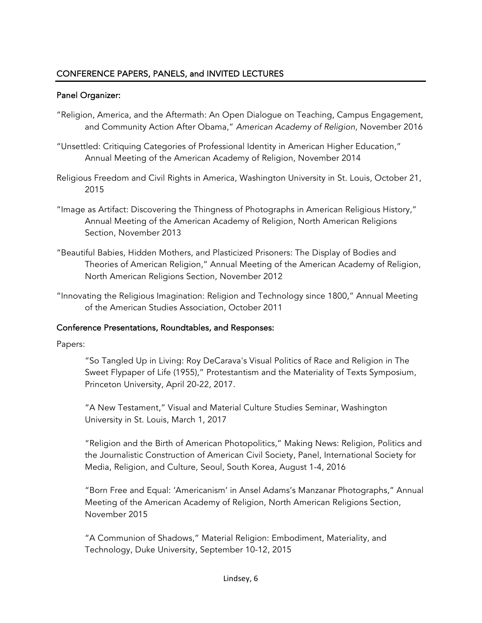## CONFERENCE PAPERS, PANELS, and INVITED LECTURES

## Panel Organizer:

- "Religion, America, and the Aftermath: An Open Dialogue on Teaching, Campus Engagement, and Community Action After Obama," *American Academy of Religion*, November 2016
- "Unsettled: Critiquing Categories of Professional Identity in American Higher Education," Annual Meeting of the American Academy of Religion, November 2014
- Religious Freedom and Civil Rights in America, Washington University in St. Louis, October 21, 2015
- "Image as Artifact: Discovering the Thingness of Photographs in American Religious History," Annual Meeting of the American Academy of Religion, North American Religions Section, November 2013
- "Beautiful Babies, Hidden Mothers, and Plasticized Prisoners: The Display of Bodies and Theories of American Religion," Annual Meeting of the American Academy of Religion, North American Religions Section, November 2012
- "Innovating the Religious Imagination: Religion and Technology since 1800," Annual Meeting of the American Studies Association, October 2011

## Conference Presentations, Roundtables, and Responses:

Papers:

"So Tangled Up in Living: Roy DeCarava's Visual Politics of Race and Religion in The Sweet Flypaper of Life (1955)," Protestantism and the Materiality of Texts Symposium, Princeton University, April 20-22, 2017.

"A New Testament," Visual and Material Culture Studies Seminar, Washington University in St. Louis, March 1, 2017

"Religion and the Birth of American Photopolitics," Making News: Religion, Politics and the Journalistic Construction of American Civil Society, Panel, International Society for Media, Religion, and Culture, Seoul, South Korea, August 1-4, 2016

"Born Free and Equal: 'Americanism' in Ansel Adams's Manzanar Photographs," Annual Meeting of the American Academy of Religion, North American Religions Section, November 2015

"A Communion of Shadows," Material Religion: Embodiment, Materiality, and Technology, Duke University, September 10-12, 2015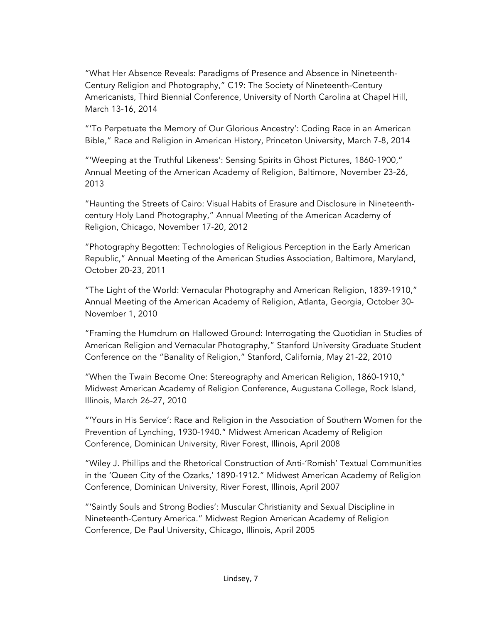"What Her Absence Reveals: Paradigms of Presence and Absence in Nineteenth-Century Religion and Photography," C19: The Society of Nineteenth-Century Americanists, Third Biennial Conference, University of North Carolina at Chapel Hill, March 13-16, 2014

"'To Perpetuate the Memory of Our Glorious Ancestry': Coding Race in an American Bible," Race and Religion in American History, Princeton University, March 7-8, 2014

"'Weeping at the Truthful Likeness': Sensing Spirits in Ghost Pictures, 1860-1900," Annual Meeting of the American Academy of Religion, Baltimore, November 23-26, 2013

"Haunting the Streets of Cairo: Visual Habits of Erasure and Disclosure in Nineteenthcentury Holy Land Photography," Annual Meeting of the American Academy of Religion, Chicago, November 17-20, 2012

"Photography Begotten: Technologies of Religious Perception in the Early American Republic," Annual Meeting of the American Studies Association, Baltimore, Maryland, October 20-23, 2011

"The Light of the World: Vernacular Photography and American Religion, 1839-1910," Annual Meeting of the American Academy of Religion, Atlanta, Georgia, October 30- November 1, 2010

"Framing the Humdrum on Hallowed Ground: Interrogating the Quotidian in Studies of American Religion and Vernacular Photography," Stanford University Graduate Student Conference on the "Banality of Religion," Stanford, California, May 21-22, 2010

"When the Twain Become One: Stereography and American Religion, 1860-1910," Midwest American Academy of Religion Conference, Augustana College, Rock Island, Illinois, March 26-27, 2010

"'Yours in His Service': Race and Religion in the Association of Southern Women for the Prevention of Lynching, 1930-1940." Midwest American Academy of Religion Conference, Dominican University, River Forest, Illinois, April 2008

"Wiley J. Phillips and the Rhetorical Construction of Anti-'Romish' Textual Communities in the 'Queen City of the Ozarks,' 1890-1912." Midwest American Academy of Religion Conference, Dominican University, River Forest, Illinois, April 2007

"'Saintly Souls and Strong Bodies': Muscular Christianity and Sexual Discipline in Nineteenth-Century America." Midwest Region American Academy of Religion Conference, De Paul University, Chicago, Illinois, April 2005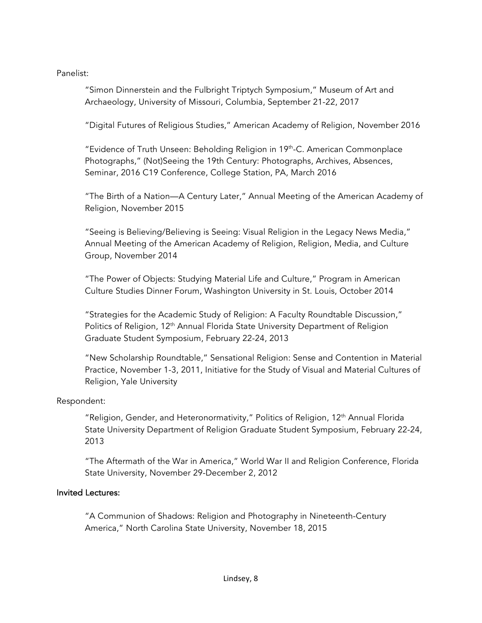Panelist:

"Simon Dinnerstein and the Fulbright Triptych Symposium," Museum of Art and Archaeology, University of Missouri, Columbia, September 21-22, 2017

"Digital Futures of Religious Studies," American Academy of Religion, November 2016

"Evidence of Truth Unseen: Beholding Religion in 19th-C. American Commonplace Photographs," (Not)Seeing the 19th Century: Photographs, Archives, Absences, Seminar, 2016 C19 Conference, College Station, PA, March 2016

"The Birth of a Nation—A Century Later," Annual Meeting of the American Academy of Religion, November 2015

"Seeing is Believing/Believing is Seeing: Visual Religion in the Legacy News Media," Annual Meeting of the American Academy of Religion, Religion, Media, and Culture Group, November 2014

"The Power of Objects: Studying Material Life and Culture," Program in American Culture Studies Dinner Forum, Washington University in St. Louis, October 2014

"Strategies for the Academic Study of Religion: A Faculty Roundtable Discussion," Politics of Religion, 12<sup>th</sup> Annual Florida State University Department of Religion Graduate Student Symposium, February 22-24, 2013

"New Scholarship Roundtable," Sensational Religion: Sense and Contention in Material Practice, November 1-3, 2011, Initiative for the Study of Visual and Material Cultures of Religion, Yale University

## Respondent:

"Religion, Gender, and Heteronormativity," Politics of Religion, 12<sup>th</sup> Annual Florida State University Department of Religion Graduate Student Symposium, February 22-24, 2013

"The Aftermath of the War in America," World War II and Religion Conference, Florida State University, November 29-December 2, 2012

## Invited Lectures:

"A Communion of Shadows: Religion and Photography in Nineteenth-Century America," North Carolina State University, November 18, 2015